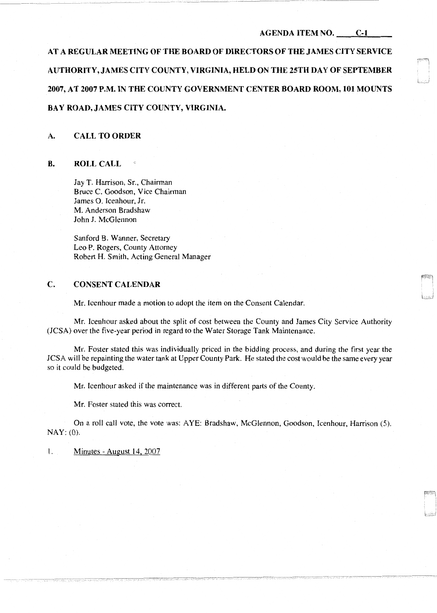## **AGENDA ITEM NO. C-1**

لتشنط

# **AT A REGULAR MEETING OF THE BOARD OF DIRECTORS OF THE JAMES CITY SERVICE**  AUTHORITY, JAMES CITY COUNTY, VIRGINIA, HELD ON THE 25TH DAY OF SEPTEMBER **2007, AT 2007 P.M. IN THE COUNTY GOVERNMENT CENTER BOARD ROOM, 101 MOUNTS BAY ROAD, JAMES CITY COUNTY, VIRGINIA.**

## **A. CALL TO ORDER**

## **B. ROLL CALL**

Jay T. Harrison, Sr., Chairman Bruce C. Goodson, Vice Chairman James 0. Icenhour, Jr. M. Anderson Bradshaw John **J.** McGlennon

Sanford **B.** Wanner, Secretary Leo P. Rogers, County Attorney Robert **H.** Smith, Acting General Manager

# **C. CONSENT CALENDAR**

Mr. Icenhour made a motion to adopt the item on the Consent Calendar.

Mr. Icenhour asked about the split of cost between the County and James City Service Authority (JCSA) over the five-year period in regard to the Water Storage Tank Maintenance.

Mr. Foster stated this was individually priced in the bidding process, and during the first year the JCSA will be repainting the water tank at Upper County Park. He stated the cost would be the same every year so it could be budgeted.

Mr. Icenhour asked if the maintenance was in different parts of the County.

Mr. Foster stated this was correct.

On a roll call vote, the vote was: AYE: Bradshaw, McGlennon, Goodson, Icenhour, Harrison (5). NAY: (0).

I. Minutes - August 14, 2007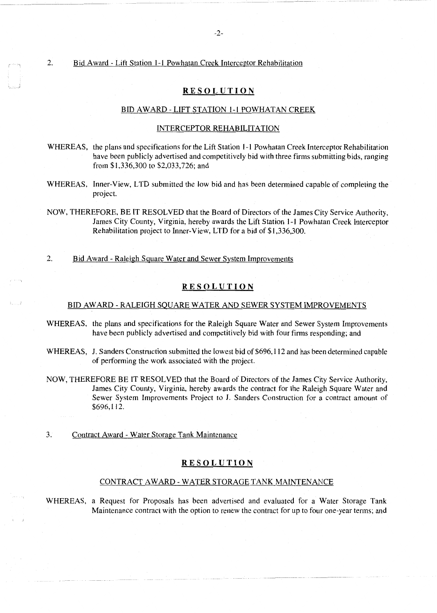# 2. Bid Award - Lift Station 1-1 Powhatan Creek Interceptor Rehabilitation

## **RESOLUTION**

## BID AWARD -LIFT STATION 1-1 POWHATAN CREEK

### INTERCEPTOR REHABILITATION

- WHEREAS, the plans and specifications for the Lift Station 1-1 Powhatan Creek Interceptor Rehabilitation have been publicly advertised and competitively bid with three firms submitting bids, ranging from \$1,336,300 to \$2,033, 726; and
- WHEREAS, Inner-View, LTD submitted the low bid and has been determined capable of completing the project.
- NOW, THEREFORE, BE IT RESOLVED that the Board of Directors of the James City Service Authority, James City County, Virginia, hereby awards the Lift Station 1-1 Powhatan Creek Interceptor Rehabilitation project to Inner-View, LTD for a bid of \$1,336,300.

2. Bid Award - Raleigh Square Water and Sewer System Improvements

# **RESOLUTION**

## BID AWARD - RALEIGH SQUARE WATER AND SEWER SYSTEM IMPROVEMENTS

- WHEREAS, the plans and specifications for the Raleigh Square Water and Sewer System Improvements have been publicly advertised and competitively bid with four firms responding; and
- WHEREAS, J. Sanders Construction submitted the lowest bid of \$696, 112 and has been determined capable of performing the work associated with the project.
- NOW, THEREFORE BE IT RESOLVED that the Board of Directors of the James City Service Authority, James City County, Virginia, hereby awards the contract for the Raleigh Square Water and Sewer System Improvements Project to J. Sanders Construction for a contract amount of \$696,112.
- 3. Contract Award Water Storage Tank Maintenance

## **RESOLUTION**

## CONTRACT AW ARD - WATER STORAGE TANK MAINTENANCE

WHEREAS, a Request for Proposals has been advertised and evaluated for a Water Storage Tank Maintenance contract with the option to renew the contract for up to four one-year terms; and

 $L_{\rm{max}}$  and  $L_{\rm{max}}$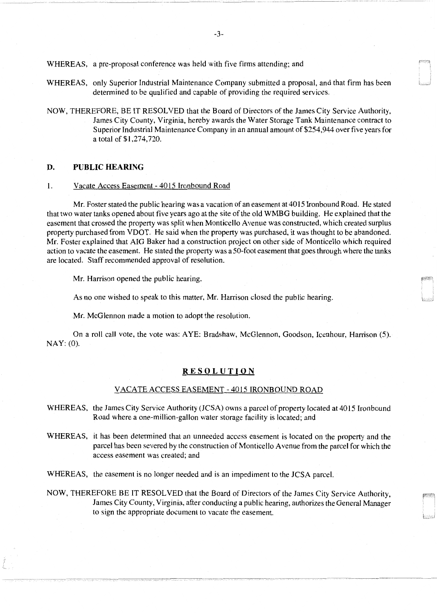WHEREAS, a pre-proposal conference was held with five firms attending; and

- WHEREAS, only Superior Industrial Maintenance Company submitted a proposal, and that firm has been determined to be qualified and capable of providing the required services.
- NOW, THEREFORE, BE IT RESOLVED that the Board of Directors of the James City Service Authority, James City County, Virginia, hereby awards the Water Storage Tank Maintenance contract to Superior Industrial Maintenance Company in an annual amount of \$254,944 over five years for a total of \$1,274,720.

# **D. PUBLIC HEARING**

### I. Vacate Access Easement - 4015 Ironbound Road

Mr. Foster stated the public hearing was a vacation of an easement at 4015 Ironbound Road. He stated that two water tanks opened about five years ago at the site of the old WMBG building. He explained that the easement that crossed the property was split when Monticello A venue was constructed, which created surplus property purchased from VDOT. He said when the property was purchased, it was thought to be abandoned. Mr. Foster explained that AIG Baker had a construction project on other side of Monticello which required action to vacate the easement. He stated the property was a 50-foot easement that goes through where the tanks are located. Staff recommended approval of resolution.

Mr. Harrison opened the public hearing.

As no one wished to speak to this matter, Mr. Harrison closed the public hearing.

Mr. McGlennon made a motion to adopt the resolution.

On a roll call vote, the vote was: AYE: Bradshaw, McGlennon, Goodson, Icenhour, Harrison (5). NAY: (0).

## **RESOLUTION**

## VACATE ACCESS EASEMENT - 4015 IRONBOUND ROAD

- WHEREAS, the James City Service Authority (JCSA) owns a parcel of property located at 4015 Ironbound Road where a one-million-gallon water storage facility is located; and
- WHEREAS, it has been determined that an unneeded access easement is located on the property and the parcel has been severed by the construction of Monticello Avenue from the parcel for which the access easement was created; and

WHEREAS, the easement is no longer needed and is an impediment to the JCSA parcel.

NOW, THEREFORE BE IT RESOLVED that the Board of Directors of the James City Service Authority, James City County, Virginia, after conducting a public hearing, authorizes the General Manager to sign the appropriate document to vacate the easement.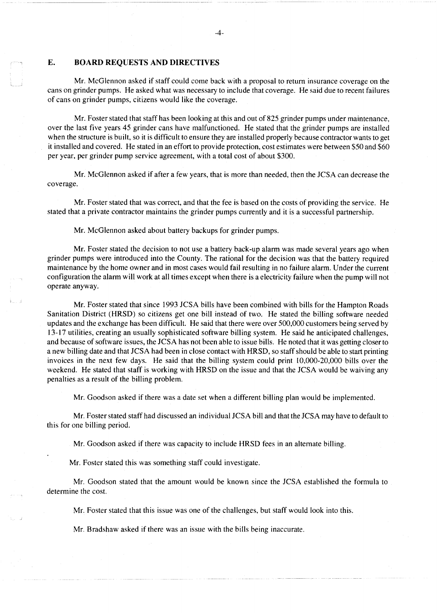# **E. BOARD REQUESTS AND DIRECTIVES**

Mr. McGlennon asked if staff could come back with a proposal to return insurance coverage on the cans on grinder pumps. He asked what was necessary to include that coverage. He said due to recent failures of cans on grinder pumps, citizens would like the coverage.

Mr. Foster stated that staff has been looking at this and out of 825 grinder pumps under maintenance, over the last five years 45 grinder cans have malfunctioned. He stated that the grinder pumps are installed when the structure is built, so it is difficult to ensure they are installed properly because contractor wants to get it installed and covered. He stated in an effort to provide protection, cost estimates were between \$50 and \$60 per year, per grinder pump service agreement, with a total cost of about \$300.

Mr. McGlennon asked if after a few years, that is more than needed, then the JCSA can decrease the coverage.

Mr. Foster stated that was correct, and that the fee is based on the costs of providing the service. He stated that a private contractor maintains the grinder pumps currently and it is a successful partnership.

Mr. McGlennon asked about battery backups for grinder pumps.

Mr. Foster stated the decision to not use a battery back-up alarm was made several years ago when grinder pumps were introduced into the County. The rational for the decision was that the battery required maintenance by the home owner and in most cases would fail resulting in no failure alarm. Under the current configuration the alarm will work at all times except when there is a electricity failure when the pump will not operate anyway.

Mr. Foster stated that since 1993 JCSA bills have been combined with bills for the Hampton Roads Sanitation District (HRSD) so citizens get one bill instead of two. He stated the billing software needed updates and the exchange has been difficult. He said that there were over 500,000 customers being served by 13-17 utilities, creating an usually sophisticated software billing system. He said he anticipated challenges, and because of software issues, the JCSA has not been able to issue bills. He noted that it was getting closer to a new billing date and that JCSA had been in close contact with HRSD, so staff should be able to start printing invoices in the next few days. He said that the billing system could print 10,000-20,000 bills over the weekend. He stated that staff is working with HRSD on the issue and that the JCSA would be waiving any penalties as a result of the billing problem.

Mr. Goodson asked if there was a date set when a different billing plan would be implemented.

Mr. Foster stated staff had discussed an individual JCSA bill and that the JCSA may have to default to this for one billing period.

Mr. Goodson asked if there was capacity to include HRSD fees in an alternate billing.

Mr. Foster stated this was something staff could investigate.

Mr. Goodson stated that the amount would be known since the JCSA established the formula to determine the cost.

Mr. Foster stated that this issue was one of the challenges, but staff would look into this.

Mr. Bradshaw asked if there was an issue with the bills being inaccurate.

-4-